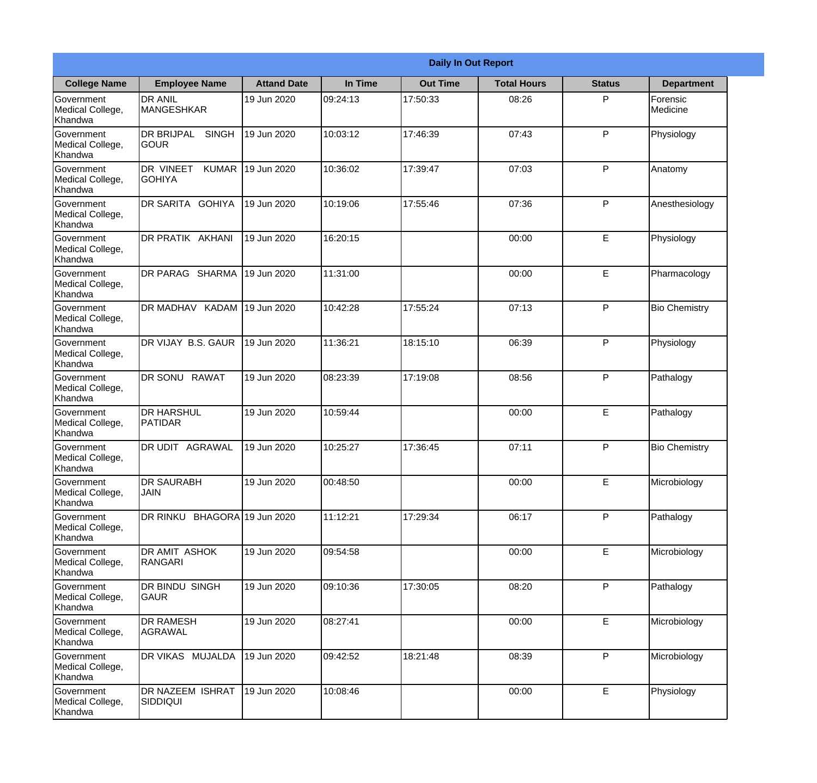|                                                  | <b>Daily In Out Report</b>                 |                    |          |                 |                    |               |                      |
|--------------------------------------------------|--------------------------------------------|--------------------|----------|-----------------|--------------------|---------------|----------------------|
| <b>College Name</b>                              | <b>Employee Name</b>                       | <b>Attand Date</b> | In Time  | <b>Out Time</b> | <b>Total Hours</b> | <b>Status</b> | <b>Department</b>    |
| Government<br>Medical College,<br>Khandwa        | <b>DR ANIL</b><br>MANGESHKAR               | 19 Jun 2020        | 09:24:13 | 17:50:33        | 08:26              | P             | Forensic<br>Medicine |
| Government<br>Medical College,<br>Khandwa        | <b>DR BRIJPAL</b><br><b>SINGH</b><br> GOUR | 19 Jun 2020        | 10:03:12 | 17:46:39        | 07:43              | P             | Physiology           |
| <b>Government</b><br>Medical College,<br>Khandwa | DR VINEET<br><b>KUMAR</b><br><b>GOHIYA</b> | 19 Jun 2020        | 10:36:02 | 17:39:47        | 07:03              | P             | Anatomy              |
| Government<br>Medical College,<br>Khandwa        | DR SARITA GOHIYA                           | 19 Jun 2020        | 10:19:06 | 17:55:46        | 07:36              | P             | Anesthesiology       |
| Government<br>Medical College,<br>Khandwa        | <b>DR PRATIK AKHANI</b>                    | 19 Jun 2020        | 16:20:15 |                 | 00:00              | E             | Physiology           |
| Government<br>Medical College,<br>Khandwa        | DR PARAG SHARMA                            | 19 Jun 2020        | 11:31:00 |                 | 00:00              | E             | Pharmacology         |
| Government<br>Medical College,<br>Khandwa        | DR MADHAV KADAM                            | 19 Jun 2020        | 10:42:28 | 17:55:24        | 07:13              | P             | <b>Bio Chemistry</b> |
| <b>Government</b><br>Medical College,<br>Khandwa | DR VIJAY B.S. GAUR                         | 19 Jun 2020        | 11:36:21 | 18:15:10        | 06:39              | P             | Physiology           |
| Government<br>Medical College,<br>Khandwa        | <b>DR SONU</b><br><b>RAWAT</b>             | 19 Jun 2020        | 08:23:39 | 17:19:08        | 08:56              | P             | Pathalogy            |
| Government<br>Medical College,<br>Khandwa        | <b>DR HARSHUL</b><br>PATIDAR               | 19 Jun 2020        | 10:59:44 |                 | 00:00              | E             | Pathalogy            |
| Government<br>Medical College,<br>Khandwa        | IDR UDIT<br><b>AGRAWAL</b>                 | 19 Jun 2020        | 10:25:27 | 17:36:45        | 07:11              | $\mathsf{P}$  | <b>Bio Chemistry</b> |
| Government<br>Medical College,<br>Khandwa        | <b>DR SAURABH</b><br><b>JAIN</b>           | 19 Jun 2020        | 00:48:50 |                 | 00:00              | E             | Microbiology         |
| Government<br>Medical College,<br>Khandwa        | DR RINKU BHAGORA 19 Jun 2020               |                    | 11:12:21 | 17:29:34        | 06:17              | P             | Pathalogy            |
| Government<br>Medical College,<br>Khandwa        | <b>DR AMIT ASHOK</b><br>RANGARI            | 19 Jun 2020        | 09:54:58 |                 | 00:00              | E             | Microbiology         |
| Government<br>Medical College,<br>Khandwa        | DR BINDU SINGH<br> GAUR                    | 19 Jun 2020        | 09:10:36 | 17:30:05        | 08:20              | P             | Pathalogy            |
| Government<br>Medical College,<br>Khandwa        | <b>DR RAMESH</b><br>AGRAWAL                | 19 Jun 2020        | 08:27:41 |                 | 00:00              | $\mathsf E$   | Microbiology         |
| Government<br>Medical College,<br>Khandwa        | <b>DR VIKAS MUJALDA</b>                    | 19 Jun 2020        | 09:42:52 | 18:21:48        | 08:39              | P             | Microbiology         |
| Government<br>Medical College,<br>Khandwa        | <b>DR NAZEEM ISHRAT</b><br>SIDDIQUI        | 19 Jun 2020        | 10:08:46 |                 | 00:00              | E             | Physiology           |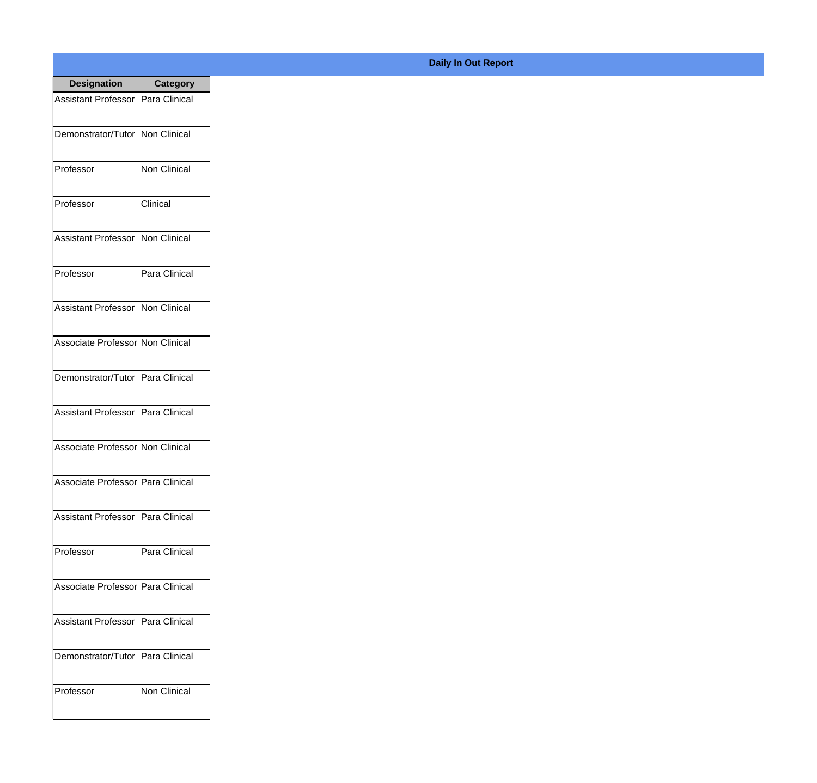| <b>Designation</b>                  | <b>Category</b>     |
|-------------------------------------|---------------------|
| Assistant Professor   Para Clinical |                     |
| Demonstrator/Tutor   Non Clinical   |                     |
| Professor                           | Non Clinical        |
| Professor                           | Clinical            |
| <b>Assistant Professor</b>          | Non Clinical        |
| Professor                           | Para Clinical       |
| <b>Assistant Professor</b>          | Non Clinical        |
| Associate Professor Non Clinical    |                     |
| Demonstrator/Tutor   Para Clinical  |                     |
| <b>Assistant Professor</b>          | Para Clinical       |
| Associate Professor Non Clinical    |                     |
| Associate Professor   Para Clinical |                     |
| Assistant Professor   Para Clinical |                     |
| Professor                           | Para Clinical       |
| Associate Professor   Para Clinical |                     |
| <b>Assistant Professor</b>          | IPara Clinical      |
| Demonstrator/Tutor   Para Clinical  |                     |
| Professor                           | <b>Non Clinical</b> |

## **Daily In Out Report**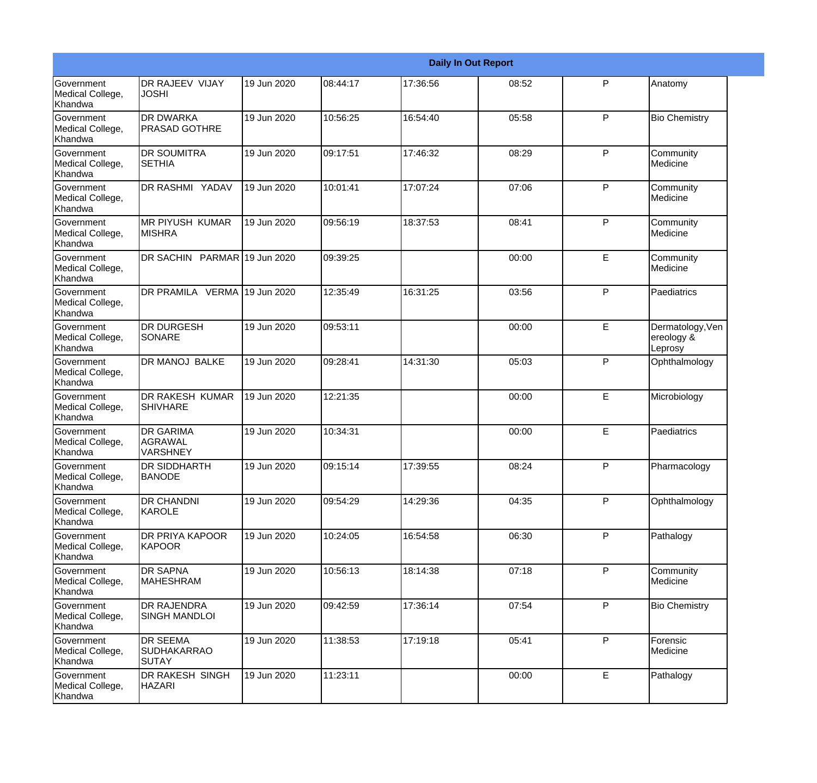|                                                  | <b>Daily In Out Report</b>                            |             |           |          |       |              |                                           |  |
|--------------------------------------------------|-------------------------------------------------------|-------------|-----------|----------|-------|--------------|-------------------------------------------|--|
| <b>Government</b><br>Medical College,<br>Khandwa | <b>DR RAJEEV VIJAY</b><br><b>JOSHI</b>                | 19 Jun 2020 | 08:44:17  | 17:36:56 | 08:52 | $\mathsf{P}$ | Anatomy                                   |  |
| Government<br>Medical College,<br>Khandwa        | <b>DR DWARKA</b><br><b>PRASAD GOTHRE</b>              | 19 Jun 2020 | 10:56:25  | 16:54:40 | 05:58 | P            | <b>Bio Chemistry</b>                      |  |
| <b>Government</b><br>Medical College,<br>Khandwa | <b>DR SOUMITRA</b><br><b>SETHIA</b>                   | 19 Jun 2020 | 09:17:51  | 17:46:32 | 08:29 | P            | Community<br>Medicine                     |  |
| <b>Government</b><br>Medical College,<br>Khandwa | DR RASHMI YADAV                                       | 19 Jun 2020 | 10:01:41  | 17:07:24 | 07:06 | P            | Community<br>Medicine                     |  |
| Government<br>Medical College,<br>Khandwa        | <b>MR PIYUSH KUMAR</b><br><b>MISHRA</b>               | 19 Jun 2020 | 09:56:19  | 18:37:53 | 08:41 | P            | Community<br>Medicine                     |  |
| Government<br>Medical College,<br><b>Khandwa</b> | DR SACHIN PARMAR 19 Jun 2020                          |             | 109:39:25 |          | 00:00 | E            | Community<br>Medicine                     |  |
| <b>Government</b><br>Medical College,<br>Khandwa | DR PRAMILA VERMA 19 Jun 2020                          |             | 12:35:49  | 16:31:25 | 03:56 | P            | Paediatrics                               |  |
| <b>Government</b><br>Medical College,<br>Khandwa | <b>DR DURGESH</b><br>SONARE                           | 19 Jun 2020 | 09:53:11  |          | 00:00 | E            | Dermatology, Ven<br>ereology &<br>Leprosy |  |
| Government<br>Medical College,<br>Khandwa        | DR MANOJ BALKE                                        | 19 Jun 2020 | 09:28:41  | 14:31:30 | 05:03 | P            | Ophthalmology                             |  |
| <b>Government</b><br>Medical College,<br>Khandwa | <b>DR RAKESH KUMAR</b><br><b>SHIVHARE</b>             | 19 Jun 2020 | 12:21:35  |          | 00:00 | E            | Microbiology                              |  |
| <b>Government</b><br>Medical College,<br>Khandwa | <b>DR GARIMA</b><br>AGRAWAL<br><b>VARSHNEY</b>        | 19 Jun 2020 | 10:34:31  |          | 00:00 | E            | Paediatrics                               |  |
| Government<br>Medical College,<br>Khandwa        | <b>DR SIDDHARTH</b><br><b>BANODE</b>                  | 19 Jun 2020 | 09:15:14  | 17:39:55 | 08:24 | P            | Pharmacology                              |  |
| Government<br>Medical College,<br>Khandwa        | <b>DR CHANDNI</b><br>KAROLE                           | 19 Jun 2020 | 09:54:29  | 14:29:36 | 04:35 | P            | Ophthalmology                             |  |
| <b>Government</b><br>Medical College,<br>Khandwa | DR PRIYA KAPOOR<br>KAPOOR                             | 19 Jun 2020 | 10:24:05  | 16:54:58 | 06:30 | P            | Pathalogy                                 |  |
| Government<br>Medical College,<br>Khandwa        | <b>DR SAPNA</b><br><b>MAHESHRAM</b>                   | 19 Jun 2020 | 10:56:13  | 18:14:38 | 07:18 | P            | Community<br>Medicine                     |  |
| Government<br>Medical College,<br>Khandwa        | <b>DR RAJENDRA</b><br><b>SINGH MANDLOI</b>            | 19 Jun 2020 | 09:42:59  | 17:36:14 | 07:54 | P            | <b>Bio Chemistry</b>                      |  |
| Government<br>Medical College,<br>Khandwa        | <b>DR SEEMA</b><br><b>SUDHAKARRAO</b><br><b>SUTAY</b> | 19 Jun 2020 | 11:38:53  | 17:19:18 | 05:41 | P            | Forensic<br>Medicine                      |  |
| Government<br>Medical College,<br>Khandwa        | DR RAKESH SINGH<br><b>HAZARI</b>                      | 19 Jun 2020 | 11:23:11  |          | 00:00 | E            | Pathalogy                                 |  |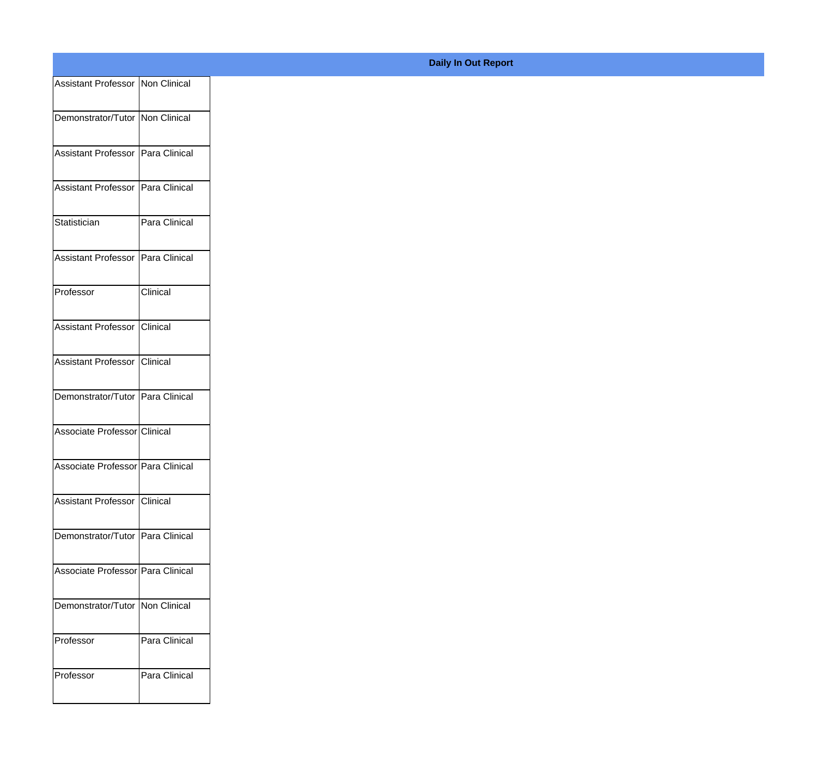| Assistant Professor Non Clinical  |               |
|-----------------------------------|---------------|
| Demonstrator/Tutor Non Clinical   |               |
| Assistant Professor Para Clinical |               |
| Assistant Professor Para Clinical |               |
| Statistician                      | Para Clinical |
| Assistant Professor Para Clinical |               |
| Professor                         | Clinical      |
| Assistant Professor Clinical      |               |
| Assistant Professor Clinical      |               |
| Demonstrator/Tutor Para Clinical  |               |
| Associate Professor Clinical      |               |
| Associate Professor Para Clinical |               |
| Assistant Professor Clinical      |               |
| Demonstrator/Tutor Para Clinical  |               |
| Associate Professor Para Clinical |               |
| Demonstrator/Tutor   Non Clinical |               |
| Professor                         | Para Clinical |
| Professor                         | Para Clinical |
|                                   |               |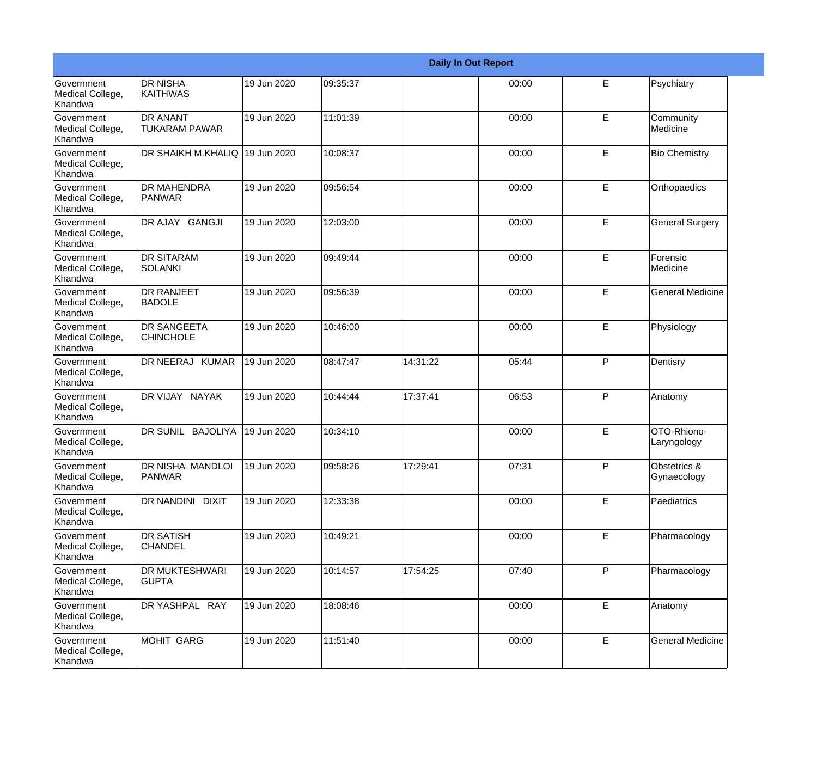|                                                  | <b>Daily In Out Report</b>              |             |          |          |       |   |                                        |  |
|--------------------------------------------------|-----------------------------------------|-------------|----------|----------|-------|---|----------------------------------------|--|
| <b>Government</b><br>Medical College,<br>Khandwa | <b>DR NISHA</b><br><b>KAITHWAS</b>      | 19 Jun 2020 | 09:35:37 |          | 00:00 | E | Psychiatry                             |  |
| Government<br>Medical College,<br>Khandwa        | <b>DR ANANT</b><br><b>TUKARAM PAWAR</b> | 19 Jun 2020 | 11:01:39 |          | 00:00 | E | Community<br>Medicine                  |  |
| Government<br>Medical College,<br>Khandwa        | DR SHAIKH M.KHALIQ 19 Jun 2020          |             | 10:08:37 |          | 00:00 | E | <b>Bio Chemistry</b>                   |  |
| Government<br>Medical College,<br>Khandwa        | <b>DR MAHENDRA</b><br>PANWAR            | 19 Jun 2020 | 09:56:54 |          | 00:00 | E | Orthopaedics                           |  |
| Government<br>Medical College,<br>Khandwa        | DR AJAY GANGJI                          | 19 Jun 2020 | 12:03:00 |          | 00:00 | E | <b>General Surgery</b>                 |  |
| Government<br>Medical College,<br>Khandwa        | <b>DR SITARAM</b><br><b>SOLANKI</b>     | 19 Jun 2020 | 09:49:44 |          | 00:00 | E | Forensic<br>Medicine                   |  |
| Government<br>Medical College,<br>Khandwa        | <b>DR RANJEET</b><br><b>BADOLE</b>      | 19 Jun 2020 | 09:56:39 |          | 00:00 | E | <b>General Medicine</b>                |  |
| Government<br>Medical College,<br>Khandwa        | <b>DR SANGEETA</b><br><b>CHINCHOLE</b>  | 19 Jun 2020 | 10:46:00 |          | 00:00 | E | Physiology                             |  |
| <b>Government</b><br>Medical College,<br>Khandwa | DR NEERAJ KUMAR                         | 19 Jun 2020 | 08:47:47 | 14:31:22 | 05:44 | P | Dentisry                               |  |
| Government<br>Medical College,<br>Khandwa        | DR VIJAY NAYAK                          | 19 Jun 2020 | 10:44:44 | 17:37:41 | 06:53 | P | Anatomy                                |  |
| Government<br>Medical College,<br>Khandwa        | DR SUNIL BAJOLIYA                       | 19 Jun 2020 | 10:34:10 |          | 00:00 | E | OTO-Rhiono-<br>Laryngology             |  |
| Government<br>Medical College,<br>Khandwa        | DR NISHA MANDLOI<br><b>PANWAR</b>       | 19 Jun 2020 | 09:58:26 | 17:29:41 | 07:31 | P | <b>Obstetrics &amp;</b><br>Gynaecology |  |
| Government<br>Medical College,<br>Khandwa        | DR NANDINI DIXIT                        | 19 Jun 2020 | 12:33:38 |          | 00:00 | E | Paediatrics                            |  |
| Government<br>Medical College,<br>Khandwa        | <b>DR SATISH</b><br><b>CHANDEL</b>      | 19 Jun 2020 | 10:49:21 |          | 00:00 | E | Pharmacology                           |  |
| Government<br>Medical College,<br>Khandwa        | DR MUKTESHWARI<br><b>GUPTA</b>          | 19 Jun 2020 | 10:14:57 | 17:54:25 | 07:40 | P | Pharmacology                           |  |
| Government<br>Medical College,<br>Khandwa        | DR YASHPAL RAY                          | 19 Jun 2020 | 18:08:46 |          | 00:00 | E | Anatomy                                |  |
| Government<br>Medical College,<br>Khandwa        | MOHIT GARG                              | 19 Jun 2020 | 11:51:40 |          | 00:00 | E | <b>General Medicine</b>                |  |